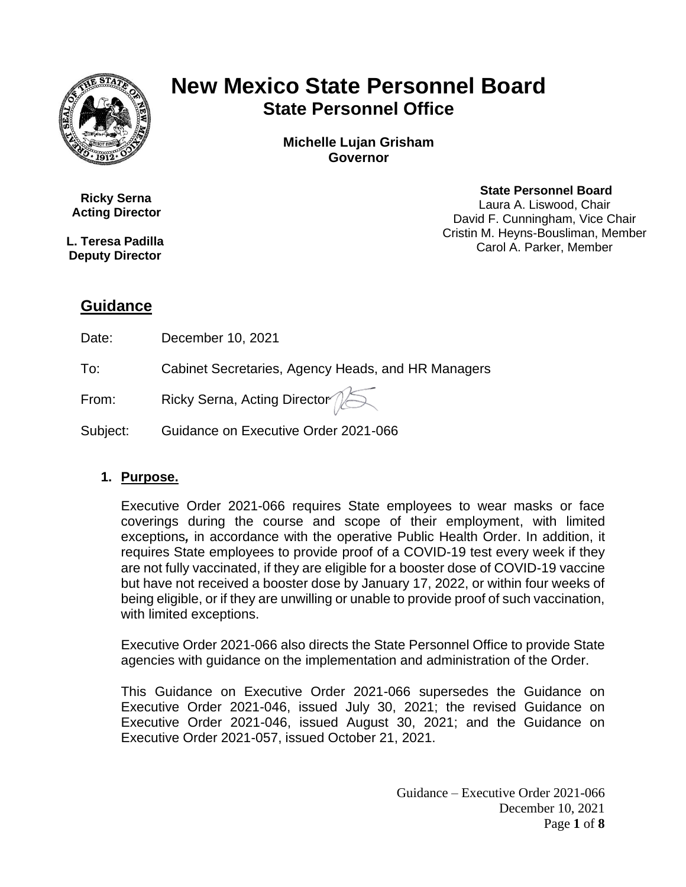

# **New Mexico State Personnel Board State Personnel Office**

**Michelle Lujan Grisham Governor**

 **Ricky Serna Acting Director**

**L. Teresa Padilla Deputy Director**

#### **State Personnel Board**

Laura A. Liswood, Chair David F. Cunningham, Vice Chair Cristin M. Heyns-Bousliman, Member Carol A. Parker, Member

## **Guidance**

Date: December 10, 2021

To: Cabinet Secretaries, Agency Heads, and HR Managers

From:  $\qquad \qquad$  Ricky Serna, Acting Director  $\qquad \qquad \qquad \qquad$ 

Subject: Guidance on Executive Order 2021-066

#### **1. Purpose.**

Executive Order 2021-066 requires State employees to wear masks or face coverings during the course and scope of their employment, with limited exceptions*,* in accordance with the operative Public Health Order. In addition, it requires State employees to provide proof of a COVID-19 test every week if they are not fully vaccinated, if they are eligible for a booster dose of COVID-19 vaccine but have not received a booster dose by January 17, 2022, or within four weeks of being eligible, or if they are unwilling or unable to provide proof of such vaccination, with limited exceptions.

Executive Order 2021-066 also directs the State Personnel Office to provide State agencies with guidance on the implementation and administration of the Order.

This Guidance on Executive Order 2021-066 supersedes the Guidance on Executive Order 2021-046, issued July 30, 2021; the revised Guidance on Executive Order 2021-046, issued August 30, 2021; and the Guidance on Executive Order 2021-057, issued October 21, 2021.

> Guidance – Executive Order 2021-066 December 10, 2021 Page **1** of **8**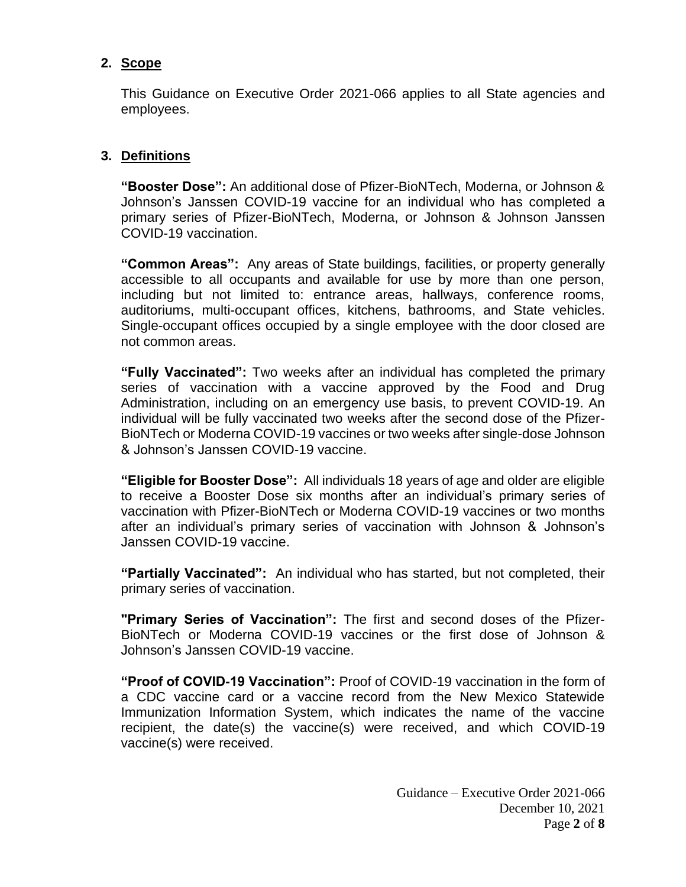#### **2. Scope**

This Guidance on Executive Order 2021-066 applies to all State agencies and employees.

### **3. Definitions**

**"Booster Dose":** An additional dose of Pfizer-BioNTech, Moderna, or Johnson & Johnson's Janssen COVID-19 vaccine for an individual who has completed a primary series of Pfizer-BioNTech, Moderna, or Johnson & Johnson Janssen COVID-19 vaccination.

**"Common Areas":** Any areas of State buildings, facilities, or property generally accessible to all occupants and available for use by more than one person, including but not limited to: entrance areas, hallways, conference rooms, auditoriums, multi-occupant offices, kitchens, bathrooms, and State vehicles. Single-occupant offices occupied by a single employee with the door closed are not common areas.

**"Fully Vaccinated":** Two weeks after an individual has completed the primary series of vaccination with a vaccine approved by the Food and Drug Administration, including on an emergency use basis, to prevent COVID-19. An individual will be fully vaccinated two weeks after the second dose of the Pfizer-BioNTech or Moderna COVID-19 vaccines or two weeks after single-dose Johnson & Johnson's Janssen COVID-19 vaccine.

**"Eligible for Booster Dose":** All individuals 18 years of age and older are eligible to receive a Booster Dose six months after an individual's primary series of vaccination with Pfizer-BioNTech or Moderna COVID-19 vaccines or two months after an individual's primary series of vaccination with Johnson & Johnson's Janssen COVID-19 vaccine.

**"Partially Vaccinated":** An individual who has started, but not completed, their primary series of vaccination.

**"Primary Series of Vaccination":** The first and second doses of the Pfizer-BioNTech or Moderna COVID-19 vaccines or the first dose of Johnson & Johnson's Janssen COVID-19 vaccine.

**"Proof of COVID-19 Vaccination":** Proof of COVID-19 vaccination in the form of a CDC vaccine card or a vaccine record from the New Mexico Statewide Immunization Information System, which indicates the name of the vaccine recipient, the date(s) the vaccine(s) were received, and which COVID-19 vaccine(s) were received.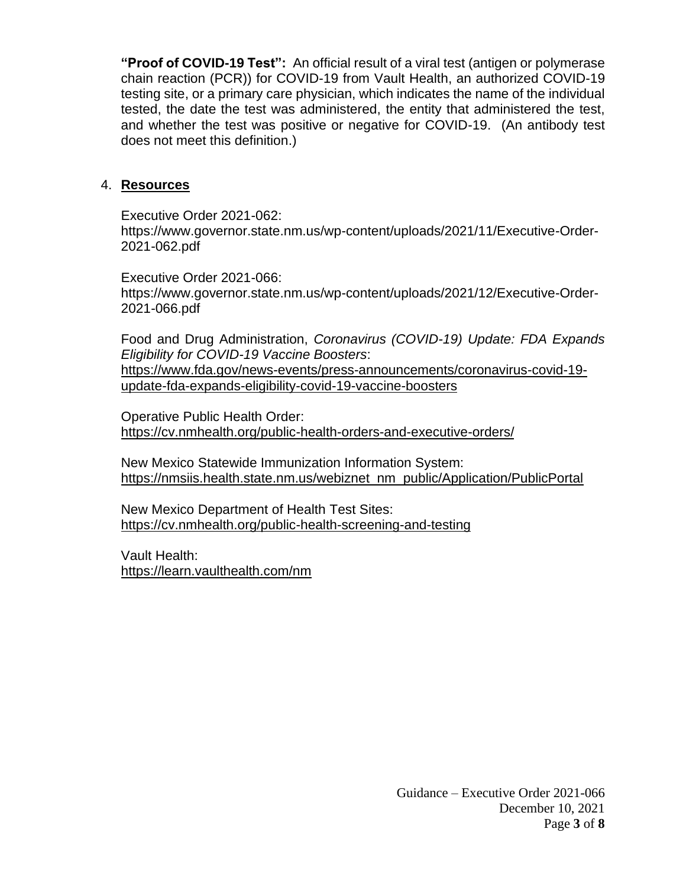**"Proof of COVID-19 Test":** An official result of a viral test (antigen or polymerase chain reaction (PCR)) for COVID-19 from Vault Health, an authorized COVID-19 testing site, or a primary care physician, which indicates the name of the individual tested, the date the test was administered, the entity that administered the test, and whether the test was positive or negative for COVID-19. (An antibody test does not meet this definition.)

#### 4. **Resources**

Executive Order 2021-062: https://www.governor.state.nm.us/wp-content/uploads/2021/11/Executive-Order-2021-062.pdf

Executive Order 2021-066: https://www.governor.state.nm.us/wp-content/uploads/2021/12/Executive-Order-2021-066.pdf

Food and Drug Administration, *Coronavirus (COVID-19) Update: FDA Expands Eligibility for COVID-19 Vaccine Boosters*:

[https://www.fda.gov/news-events/press-announcements/coronavirus-covid-19](https://www.fda.gov/news-events/press-announcements/coronavirus-covid-19-update-fda-expands-eligibility-covid-19-vaccine-boosters) [update-fda-expands-eligibility-covid-19-vaccine-boosters](https://www.fda.gov/news-events/press-announcements/coronavirus-covid-19-update-fda-expands-eligibility-covid-19-vaccine-boosters)

Operative Public Health Order: <https://cv.nmhealth.org/public-health-orders-and-executive-orders/>

New Mexico Statewide Immunization Information System: [https://nmsiis.health.state.nm.us/webiznet\\_nm\\_public/Application/PublicPortal](https://nmsiis.health.state.nm.us/webiznet_nm_public/Application/PublicPortal)

New Mexico Department of Health Test Sites: <https://cv.nmhealth.org/public-health-screening-and-testing>

Vault Health: <https://learn.vaulthealth.com/nm>

> Guidance – Executive Order 2021-066 December 10, 2021 Page **3** of **8**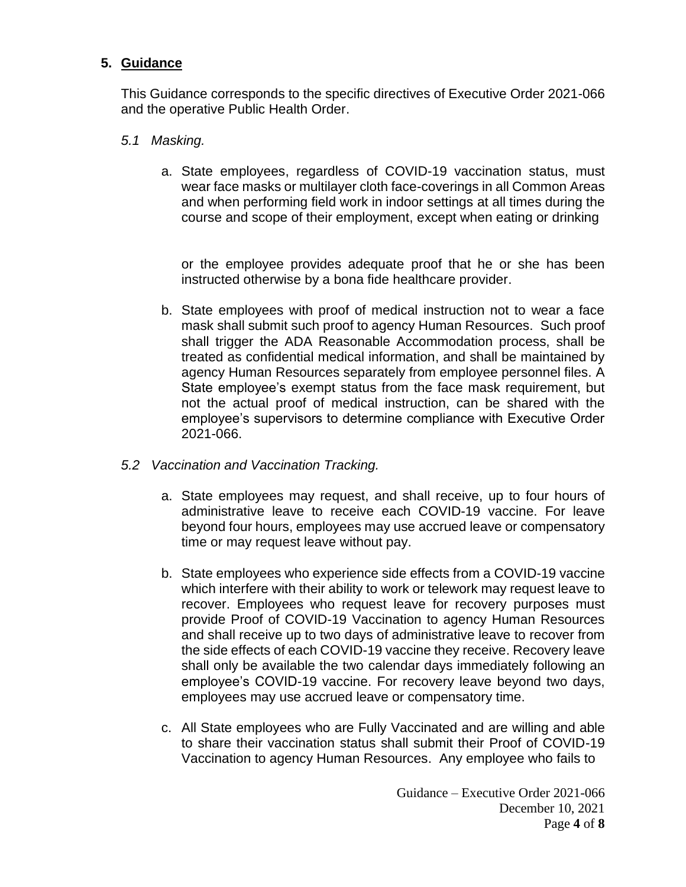#### **5. Guidance**

This Guidance corresponds to the specific directives of Executive Order 2021-066 and the operative Public Health Order.

- *5.1 Masking.*
	- a. State employees, regardless of COVID-19 vaccination status, must wear face masks or multilayer cloth face-coverings in all Common Areas and when performing field work in indoor settings at all times during the course and scope of their employment, except when eating or drinking

or the employee provides adequate proof that he or she has been instructed otherwise by a bona fide healthcare provider.

- b. State employees with proof of medical instruction not to wear a face mask shall submit such proof to agency Human Resources. Such proof shall trigger the ADA Reasonable Accommodation process, shall be treated as confidential medical information, and shall be maintained by agency Human Resources separately from employee personnel files. A State employee's exempt status from the face mask requirement, but not the actual proof of medical instruction, can be shared with the employee's supervisors to determine compliance with Executive Order 2021-066.
- *5.2 Vaccination and Vaccination Tracking.*
	- a. State employees may request, and shall receive, up to four hours of administrative leave to receive each COVID-19 vaccine. For leave beyond four hours, employees may use accrued leave or compensatory time or may request leave without pay.
	- b. State employees who experience side effects from a COVID-19 vaccine which interfere with their ability to work or telework may request leave to recover. Employees who request leave for recovery purposes must provide Proof of COVID-19 Vaccination to agency Human Resources and shall receive up to two days of administrative leave to recover from the side effects of each COVID-19 vaccine they receive. Recovery leave shall only be available the two calendar days immediately following an employee's COVID-19 vaccine. For recovery leave beyond two days, employees may use accrued leave or compensatory time.
	- c. All State employees who are Fully Vaccinated and are willing and able to share their vaccination status shall submit their Proof of COVID-19 Vaccination to agency Human Resources. Any employee who fails to

Guidance – Executive Order 2021-066 December 10, 2021 Page **4** of **8**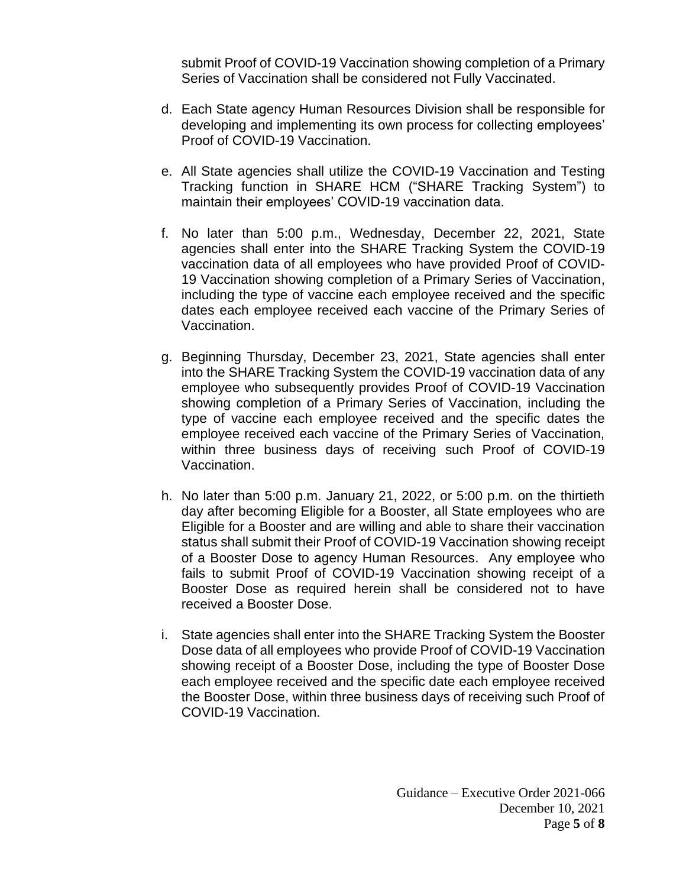submit Proof of COVID-19 Vaccination showing completion of a Primary Series of Vaccination shall be considered not Fully Vaccinated.

- d. Each State agency Human Resources Division shall be responsible for developing and implementing its own process for collecting employees' Proof of COVID-19 Vaccination.
- e. All State agencies shall utilize the COVID-19 Vaccination and Testing Tracking function in SHARE HCM ("SHARE Tracking System") to maintain their employees' COVID-19 vaccination data.
- f. No later than 5:00 p.m., Wednesday, December 22, 2021, State agencies shall enter into the SHARE Tracking System the COVID-19 vaccination data of all employees who have provided Proof of COVID-19 Vaccination showing completion of a Primary Series of Vaccination, including the type of vaccine each employee received and the specific dates each employee received each vaccine of the Primary Series of Vaccination.
- g. Beginning Thursday, December 23, 2021, State agencies shall enter into the SHARE Tracking System the COVID-19 vaccination data of any employee who subsequently provides Proof of COVID-19 Vaccination showing completion of a Primary Series of Vaccination, including the type of vaccine each employee received and the specific dates the employee received each vaccine of the Primary Series of Vaccination, within three business days of receiving such Proof of COVID-19 Vaccination.
- h. No later than 5:00 p.m. January 21, 2022, or 5:00 p.m. on the thirtieth day after becoming Eligible for a Booster, all State employees who are Eligible for a Booster and are willing and able to share their vaccination status shall submit their Proof of COVID-19 Vaccination showing receipt of a Booster Dose to agency Human Resources. Any employee who fails to submit Proof of COVID-19 Vaccination showing receipt of a Booster Dose as required herein shall be considered not to have received a Booster Dose.
- i. State agencies shall enter into the SHARE Tracking System the Booster Dose data of all employees who provide Proof of COVID-19 Vaccination showing receipt of a Booster Dose, including the type of Booster Dose each employee received and the specific date each employee received the Booster Dose, within three business days of receiving such Proof of COVID-19 Vaccination.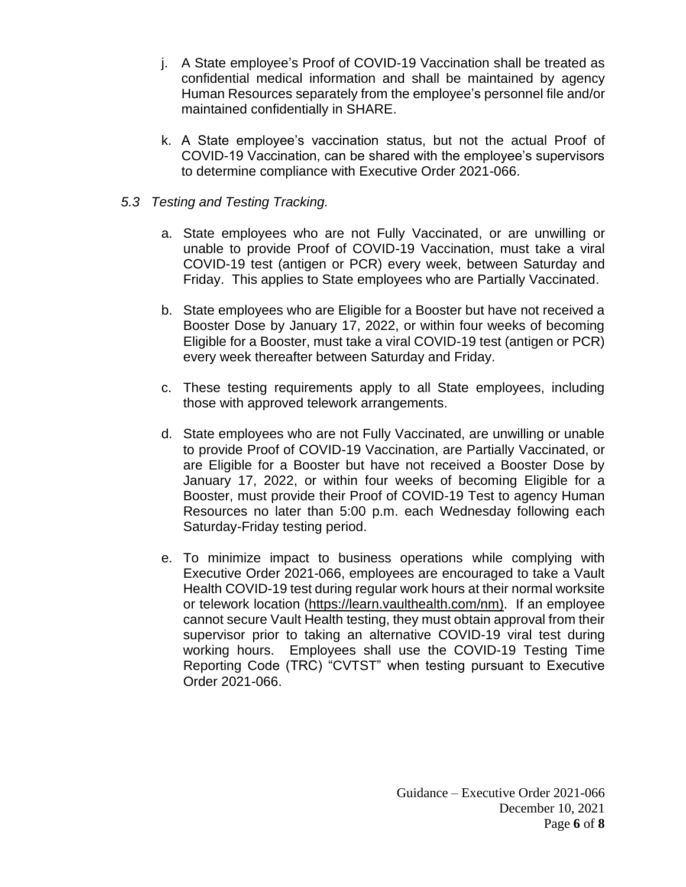- j. A State employee's Proof of COVID-19 Vaccination shall be treated as confidential medical information and shall be maintained by agency Human Resources separately from the employee's personnel file and/or maintained confidentially in SHARE.
- k. A State employee's vaccination status, but not the actual Proof of COVID-19 Vaccination, can be shared with the employee's supervisors to determine compliance with Executive Order 2021-066.

#### *5.3 Testing and Testing Tracking.*

- a. State employees who are not Fully Vaccinated, or are unwilling or unable to provide Proof of COVID-19 Vaccination, must take a viral COVID-19 test (antigen or PCR) every week, between Saturday and Friday. This applies to State employees who are Partially Vaccinated.
- b. State employees who are Eligible for a Booster but have not received a Booster Dose by January 17, 2022, or within four weeks of becoming Eligible for a Booster, must take a viral COVID-19 test (antigen or PCR) every week thereafter between Saturday and Friday.
- c. These testing requirements apply to all State employees, including those with approved telework arrangements.
- d. State employees who are not Fully Vaccinated, are unwilling or unable to provide Proof of COVID-19 Vaccination, are Partially Vaccinated, or are Eligible for a Booster but have not received a Booster Dose by January 17, 2022, or within four weeks of becoming Eligible for a Booster, must provide their Proof of COVID-19 Test to agency Human Resources no later than 5:00 p.m. each Wednesday following each Saturday-Friday testing period.
- e. To minimize impact to business operations while complying with Executive Order 2021-066, employees are encouraged to take a Vault Health COVID-19 test during regular work hours at their normal worksite or telework location [\(https://learn.vaulthealth.com/nm\)](https://learn.vaulthealth.com/nm). If an employee cannot secure Vault Health testing, they must obtain approval from their supervisor prior to taking an alternative COVID-19 viral test during working hours. Employees shall use the COVID-19 Testing Time Reporting Code (TRC) "CVTST" when testing pursuant to Executive Order 2021-066.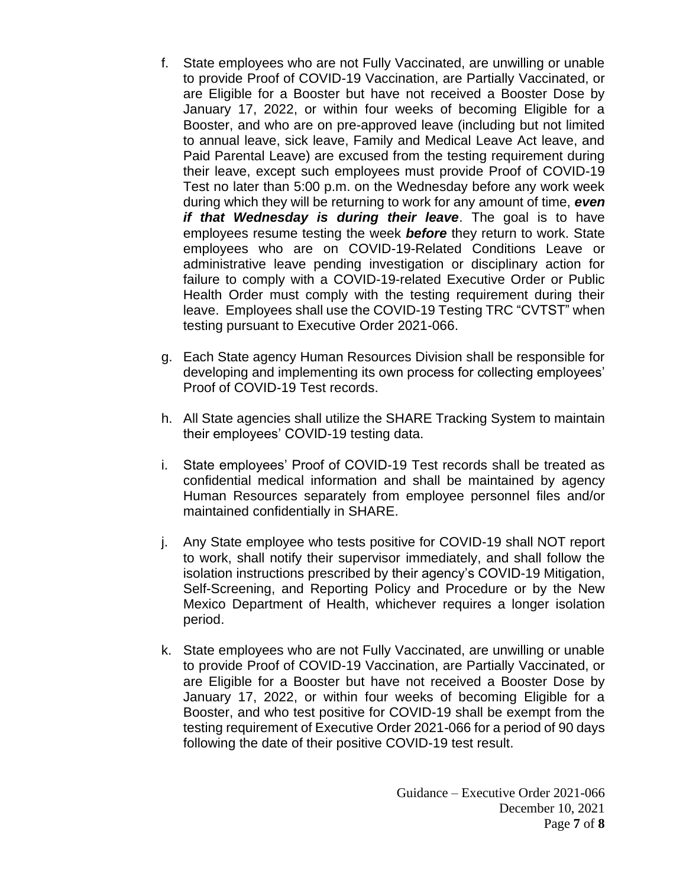- f. State employees who are not Fully Vaccinated, are unwilling or unable to provide Proof of COVID-19 Vaccination, are Partially Vaccinated, or are Eligible for a Booster but have not received a Booster Dose by January 17, 2022, or within four weeks of becoming Eligible for a Booster, and who are on pre-approved leave (including but not limited to annual leave, sick leave, Family and Medical Leave Act leave, and Paid Parental Leave) are excused from the testing requirement during their leave, except such employees must provide Proof of COVID-19 Test no later than 5:00 p.m. on the Wednesday before any work week during which they will be returning to work for any amount of time, *even if that Wednesday is during their leave*. The goal is to have employees resume testing the week *before* they return to work. State employees who are on COVID-19-Related Conditions Leave or administrative leave pending investigation or disciplinary action for failure to comply with a COVID-19-related Executive Order or Public Health Order must comply with the testing requirement during their leave. Employees shall use the COVID-19 Testing TRC "CVTST" when testing pursuant to Executive Order 2021-066.
- g. Each State agency Human Resources Division shall be responsible for developing and implementing its own process for collecting employees' Proof of COVID-19 Test records.
- h. All State agencies shall utilize the SHARE Tracking System to maintain their employees' COVID-19 testing data.
- i. State employees' Proof of COVID-19 Test records shall be treated as confidential medical information and shall be maintained by agency Human Resources separately from employee personnel files and/or maintained confidentially in SHARE.
- j. Any State employee who tests positive for COVID-19 shall NOT report to work, shall notify their supervisor immediately, and shall follow the isolation instructions prescribed by their agency's COVID-19 Mitigation, Self-Screening, and Reporting Policy and Procedure or by the New Mexico Department of Health, whichever requires a longer isolation period.
- k. State employees who are not Fully Vaccinated, are unwilling or unable to provide Proof of COVID-19 Vaccination, are Partially Vaccinated, or are Eligible for a Booster but have not received a Booster Dose by January 17, 2022, or within four weeks of becoming Eligible for a Booster, and who test positive for COVID-19 shall be exempt from the testing requirement of Executive Order 2021-066 for a period of 90 days following the date of their positive COVID-19 test result.